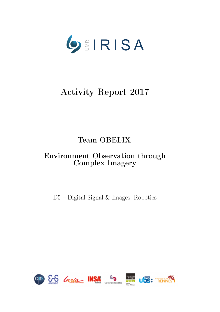

# Activity Report 2017

# Team OBELIX

# Environment Observation through Complex Imagery

D5 – Digital Signal & Images, Robotics

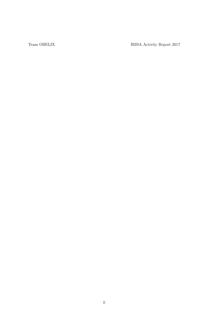Team OBELIX IRISA Activity Report 2017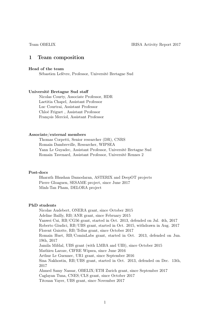# 1 Team composition

### Head of the team

Sébastien Lefèvre, Professor, Université Bretagne Sud

### Université Bretagne Sud staff

Nicolas Courty, Associate Professor, HDR Laetitia Chapel, Assistant Professor Luc Courtrai, Assistant Professor Chloé Friguet , Assistant Professor François Merciol, Assistant Professor

### Associate/external members

Thomas Corpetti, Senior researcher (DR), CNRS Romain Dambreville, Researcher, WIPSEA Yann Le Guyadec, Assistant Professor, Université Bretagne Sud Romain Tavenard, Assistant Professor, Université Rennes 2

### Post-docs

Bharath Bhushan Damodaran, ASTERIX and DeepOT projects Pierre Gloaguen, SESAME project, since June 2017 Minh-Tan Pham, DELORA project

# PhD students

Nicolas Audebert, ONERA grant, since October 2015 Adeline Bailly, RB/ANR grant, since February 2015 Yanwei Cui, RB/CG56 grant, started in Oct. 2013, defended on Jul. 4th, 2017 Roberto Giudici, RB/UBS grant, started in Oct. 2015, withdrawn in Aug. 2017 Florent Guiotte, RB/Tellus grant, since October 2017 Romain Huet, RB/CominLabs grant, started in Oct. 2013, defended on Jun. 19th, 2017 Jamila Mifdal, UBS grant (with LMBA and UIB), since October 2015 Mathieu Laroze, CIFRE Wipsea, since June 2016 Arthur Le Guennec, UR1 grant, since September 2016 Sina Nakhostin, RB/UBS grant, started in Oct. 2013, defended on Dec. 13th, 2017 Ahmed Samy Nassar, OBELIX/ETH Zurich grant, since September 2017 Caglayan Tuna, CNES/CLS grant, since October 2017 Titouan Vayer, UBS grant, since November 2017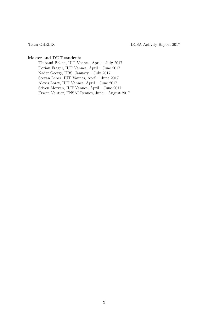## Master and DUT students

Thibaud Balem, IUT Vannes, April – July 2017 Dorian Fragni, IUT Vannes, April – June 2017 Nader Georgi, UBS, January – July 2017 Stevan Leber, IUT Vannes, April – June 2017 Alexis Loret, IUT Vannes, April – June 2017 Stiven Morvan, IUT Vannes, April – June 2017 Erwan Vautier, ENSAI Rennes, June – August 2017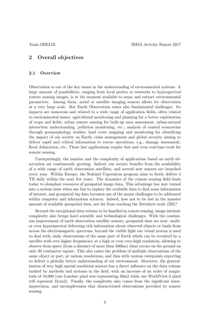# 2 Overall objectives

# 2.1 Overview

Observation is one of the key issues in the understanding of environmental systems. A large amount of possibilities, ranging from local probes or networks to hyperspectral remote sensing images, is at the moment available to sense and extract environmental parameters. Among them, aerial or satellite imaging sensors allows for observation at a very large scale. But Earth Observation raises also fundamental challenges. Its impacts are numerous and related to a wide range of application fields, often related to environmental issues: agricultural monitoring and planning for a better exploitation of crops and fields; urban remote sensing for built-up area assessment, urban-natural interaction understanding, pollution monitoring, etc.; analysis of coastal ecosystems through geomorphology studies; land cover mapping and monitoring for identifying the impact of our society on Earth; crisis management and global security aiming to deliver rapid and critical information to rescue operations, e.g., damage assessment, flood delineation, etc. These last applications require fast and even real-time tools for remote sensing.

Unsurprisingly, the number and the complexity of applications based on earth observation are continuously growing. Indeed, our society benefits from the availability of a wide range of earth observation satellites, and several new sensors are launched every year. Within Europe, the Sentinel Copernicus program aims to freely deliver 4 TB daily within the next few years. The dynamics of the remote sensing field leads today to abundant resources of geospatial image data. This advantage has now turned into a serious issue when one has to explore the available data to find some information of interest, and geospatial big data becomes one of the major challenges to be addressed within computer and information sciences. Indeed, how not to be lost in the massive amount of available geospatial data, not far from reaching the Zettabyte scale (ZB)?

Beyond the exceptional data volume to be handled in remote sensing, image intrinsic complexity also brings hard scientific and technological challenges. With the continuous improvement of earth observation satellite sensors, geospatial data are now: multior even hyperspectral delivering rich information about observed objects or lands from across the electromagnetic spectrum, beyond the visible light our visual system is used to deal with; daily observations of the same part of Earth which can be revisited by a satellite with ever higher frequencies; at a high or even very-high resolution, allowing to observe from space (from a distance of more than 500km) what occurs on the ground on only 30 centimeter square. This also raises the problem of multiple observations of the same object or part, at various resolutions, and thus with various viewpoints expecting to deliver a globally better understanding of our environment. Moreover, the generalization of very high spatial resolution sensors has a direct influence on the data volume tackled by methods and systems in the field, with an increase of an order of magnitude of 10,000 (one Landsat pixel was representing 30m2 while one WorldView-3 pixel will represent 31cm2). Finally, the complexity also comes from the significant noise, imprecision, and incompleteness that characterized observations provided by remote sensing.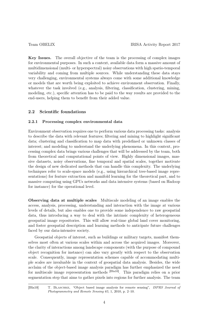Key Issues. The overall objective of the team is the processing of complex images for environmental purposes. In such a context, available data form a massive amount of multidimensional (multi- or hyperspectral) noisy observations with high spatio-temporal variability and coming from multiple sources. While understanding these data stays very challenging, environmental systems always come with some additional knowledge or models that are worth being exploited to achieve environment observation. Finally, whatever the task involved (e.g., analysis, filtering, classification, clustering, mining, modeling, etc.), specific attention has to be paid to the way results are provided to the end-users, helping them to benefit from their added value.

# 2.2 Scientific foundations

## 2.2.1 Processing complex environmental data

Environment observation requires one to perform various data processing tasks: analysis to describe the data with relevant features; filtering and mining to highlight significant data; clustering and classification to map data with predefined or unknown classes of interest; and modeling to understand the underlying phenomena. In this context, processing complex data brings various challenges that will be addressed by the team, both from theoretical and computational points of view. Highly dimensional images, massive datasets, noisy observations, fine temporal and spatial scales, together motivate the design of new dedicated methods that can handle this complexity. The underlying techniques refer to scale-space models (e.g., using hierarchical tree-based image representations) for feature extraction and manifold learning for the theoretical part, and to massive computing using GPUs networks and data intensive systems (based on Hadoop for instance) for the operational level.

Observing data at multiple scales Multiscale modeling of an image enables the access, analysis, processing, understanding and interaction with the image at various levels of details, but also enables one to provide some independence to raw geospatial data, thus introducing a way to deal with the intrinsic complexity of heterogeneous geospatial image repositories. This will allow real-time global land cover monitoring, and foster geospatial description and learning methods to anticipate future challenges faced by our data-intensive society.

Geospatial objects of interest, such as buildings or military targets, manifest themselves most often at various scales within and across the acquired images. Moreover, the clarity of interactions among landscape components (with the purpose of compound object recognition for instance) can also vary greatly with respect to the observation scale. Consequently, image representation schemes capable of accommodating multiple scales are invaluable in the context of geospatial data analysis. Besides, the wide acclaim of the object-based image analysis paradigm has further emphasized the need for multiscale image representation methods [Bla10]. This paradigm relies on a prior segmentation step that aims to gather pixels into regions for further analysis. The team

<sup>[</sup>Bla10] T. BLASCHKE, "Object based image analysis for remote sensing", ISPRS Journal of Photogrammetry and Remote Sensing 65, 1, 2010, p. 2–10.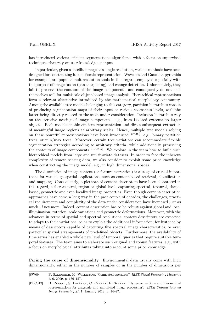has introduced various efficient segmentations algorithms, with a focus on supervised techniques that rely on user knowledge or input.

In particular, given a satellite image at a single resolution, various methods have been designed for constructing its multiscale representation. Wavelets and Gaussian pyramids for example, are popular multiresolution tools in this regard, employed especially with the purpose of image fusion (pan sharpening) and change detection. Unfortunately, they fail to preserve the contours of the image components, and consequently do not lend themselves well for multiscale object-based image analysis. Hierarchical representations form a relevant alternative introduced by the mathematical morphology community. Among the available tree models belonging to this category, partition hierarchies consist of producing segmentation maps of their input at various coarseness levels, with the latter being directly related to the scale under consideration. Inclusion hierarchies rely on the iterative nesting of image components, e.g., from isolated extrema to larger objects. Both models enable efficient representation and direct subsequent extraction of meaningful image regions at arbitrary scales. Hence, multiple tree models relying on these powerful representations have been introduced [SW09], e.g., binary partition trees, or min/max trees. Moreover, certain tree variations can accommodate flexible segmentation strategies according to arbitrary criteria, while additionally preserving the contours of image components [PLCS12]. We explore in the team how to build such hierarchical models from large and multivariate datasets. In order to face the inherent complexity of remote sensing data, we also consider to exploit some prior knowledge when constructing the image model, e.g., in high dimensional spaces.

The description of image content (or feature extraction) is a stage of crucial importance for various geospatial applications, such as content-based retrieval, classification and mapping. Consequently, a plethora of content descriptors have been elaborated in this regard, either at pixel, region or global level, capturing spectral, textural, shapebased, geometric and even localized image properties. Even though content-description approaches have come a long way in the past couple of decades, the challenges, practical requirements and complexity of the data under consideration have increased just as much, if not more. Indeed, content description has to be robust against global and local illumination, rotation, scale variations and geometric deformations. Moreover, with the advances in terms of spatial and spectral resolutions, content descriptors are expected to adapt to their variations, so as to exploit the additional information; for instance by means of descriptors capable of capturing fine spectral image characteristics, or even particular spatial arrangements of predefined objects. Furthermore, the availability of time series has enabled a whole new level of temporal queries that require suitable temporal features. The team aims to elaborate such original and robust features, e.g., with a focus on morphological attributes taking into account some prior knowledge.

Facing the curse of dimensionality Environmental data usually come with high dimensionality, either in the number of samples or in the number of dimensions per

<sup>[</sup>SW09] P. Salembier, M. Wilkinson, "Connected operators", IEEE Signal Processing Magazine 6, 6, 2009, p. 136–157. [PLCS12] B. Perret, S. Lefèvre, C. Collet, E. Slezak, "Hyperconnections and hierarchical

representations for grayscale and multiband image processing", IEEE Transactions on Image Processing 21, 1, January 2012, p. 14–27.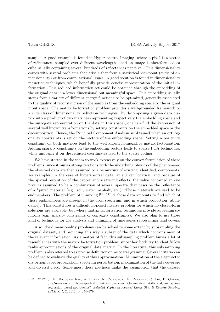sample. A good example is found in Hyperspectral Imaging, where a pixel is a vector of reflectances sampled over different wavelengths, and an image is therefore a data cube usually containing several hundreds of reflectances per pixel. This dimensionality comes with several problems that arise either from a statistical viewpoint (curse of dimensionality) or from computational issues. A good solution is found in dimensionality reduction techniques, which hopefully provide concise representation of the initial information. This reduced information set could be obtained through the embedding of the original data in a lower dimensional but meaningful space. This embedding usually stems from a variety of different energy functions to be optimized, generally associated to the quality of reconstruction of the samples from the embedding space to the original input space. The matrix factorization problem provides a well-grounded framework to a wide class of dimensionality reduction techniques. By decomposing a given data matrix into a product of two matrices (representing respectively the embedding space and the surrogate representation on the data in this space), one can find the expression of several well known transformations by setting constraints on the embedded space or the decomposition. Hence, the Principal Component Analysis is obtained when an orthogonality constraints is set on the vectors of the embedding space. Setting a positivity constraint on both matrices lead to the well known nonnegative matrix factorization. Adding sparsity constraints on the embedding vectors leads to sparse PCA techniques, while imposing it on the reduced coordinates lead to the sparse coding.

We have started in the team to work extensively on the convex formulation of these problems, since it buries strong relations with the underlying physics of the phenomena: the observed data are then assumed to a be mixture of existing, identified, components. As examples, in the case of hyperspectral data, at a given location, and because of the spatial resolution of the captor and scattering effects, the value contained in one pixel is assumed to be a combination of several spectra that describe the reflectance of a "pure" material (e.g., soil, water, asphalt, etc.). Those materials are said to be endmembers. The problem of unmixing  $[BDPD+12]$  those data amounts to find which of those endmembers are present in the pixel spectrum, and in which proportion (abundance). This constitutes a difficult ill-posed inverse problem for which no closed-form solutions are available, but where matrix factorization techniques provide appealing solutions (e.g. sparsity constraints or convexity constraints). We also plan to use those kind of technique for the analysis and unmixing of time series representing land covers.

Also, the dimensionality problems can be solved to some extent by subsampling the original dataset, and providing this way a subset of the data which contains most of the relevant information. As a matter of fact, this subsampling problem buries a lot of resemblances with the matrix factorization problem, since they both try to identify low ranks approximations of the original data matrix. In the literature, this sub-sampling problem is also referred to as precise definition or, as coarse graining. Several criteria can be defined to evaluate the quality of this approximation: Minimization of the eigenvector distortion, label propagation, spectrum perturbation, maximization of the data coverage and diversity, etc. Sometimes, these methods make the assumption that the dataset

<sup>[</sup>BDPD<sup>+</sup>12] J. M. Bioucas-Dias, A. Plaza, N. Dobigeon, M. Parente, Q. Du, P. Gader, J. Chanussot, "Hyperspectral unmixing overview: Geometrical, statistical, and sparse regression-based approaches", Selected Topics in Applied Earth Obs. & Remote Sensing, IEEE J. 5, 2, 2012, p. 354-379.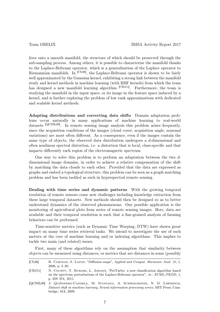lives onto a smooth manifold, the structure of which should be preserved through the sub-sampling process. Among others, it is possible to characterize the manifold thanks to the Laplace-Beltrami operator, which is a generalization of the Laplace operator to Riemannian manifolds. In <sup>[CL06]</sup>, the Laplace-Beltrami operator is shown to be fairly well approximated by the Gaussian kernel, exhibiting a strong link between the manifold study and kernel methods in machine learning (with RBF kernels) from which the team has designed a new manifold learning algorithm <sup>[CBJ11]</sup>. Furthermore, the team is studying the manifold in the input space, or its image in the feature space induced by a kernel, and is further exploring the problem of low rank approximations with dedicated and scalable kernel methods.

Adapting distributions and correcting data shifts Domain adaptation problems occur naturally in many applications of machine learning to real-world datasets [QCSSL09]. In remote sensing image analysis this problem arises frequently, since the acquisition conditions of the images (cloud cover, acquisition angle, seasonal variations) are most often different. As a consequence, even if the images contain the same type of objects, the observed data distribution undergoes a d-dimensional and often nonlinear spectral distortion, i.e. a distortion that is local, class-specific and that impacts differently each region of the electromagnetic spectrum.

One way to solve this problem is to perform an adaptation between the two ddimensional image domains, in order to achieve a relative compensation of the shift by matching the data clouds to each other. Provided that the data are expressed as graphs and embed a topological structure, this problem can be seen as a graph matching problem and has been tackled as such in hyperspectral remote sensing.

Dealing with time series and dynamic patterns With the growing temporal resolution of remote sensors come new challenges including knowledge extraction from these large temporal datasets. New methods should then be designed so as to better understand dynamics of the observed phenomenons. One possible application is the monitoring of agricultural plots from series of remote sensing images. Here, data are available and their temporal resolution is such that a fine-grained analysis of farming behaviors can be performed.

Time-sensitive metrics (such as Dynamic Time Warping, DTW) have shown great impact on many time series retrieval tasks. We intend to investigate the use of such metrics at the core of machine learning and/or indexing algorithms. This implies to tackle two main (and related) issues.

First, many of these algorithms rely on the assumption that similarity between objects can be measured using distances, or metrics that are distances in some (possibly

| [CL06] | R. COIFMAN, S. LAFON, "Diffusion maps", Applied and Comput. Harmonic Anal. 21, 1, |  |  |
|--------|-----------------------------------------------------------------------------------|--|--|
|        | $2006$ , p. $5-30$ .                                                              |  |  |

- [CBJ11] N. Courty, T. Burger, L. Johann, "PerTurbo: a new classification algorithm based on the spectrum perturbations of the Laplace-Beltrami operator", in : ECML/PKDD, 1, p. 359–374, 2011.
- [QCSSL09] J. Quiñonero-Candela, M. Sugiyama, A. Schwaighofer, N. D. Lawrence, Dataset shift in machine learning, Neural information processing series, MIT Press, Cambridge, MA, 2009.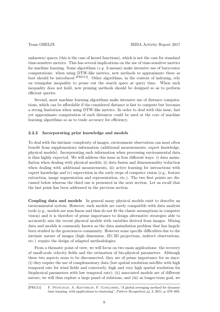unknown) spaces (this is the case of kernel functions), which is not the case for standard time-sensitive metrics. This has several implications on the use of time-sensitive metrics for machine learning. Some algorithms  $(e, q, k$ -means) make intensive use of barycenter computations: when using DTW-like metrics, new methods to approximate these as best should be introduced [PKG11]. Other algorithms, in the context of indexing, rely on triangular inequality to prune out the search space at query time. When such inequality does not hold, new pruning methods should be designed so as to perform efficient queries.

Second, most machine learning algorithms make intensive use of distance computations, which can be affordable if the considered distance is fast to compute but becomes a strong limitation when using DTW-like metrics. In order to deal with this issue, fast yet approximate computation of such distances could be used at the core of machine learning algorithms so as to trade accuracy for efficiency.

### 2.2.2 Incorporating prior knowledge and models

To deal with the intrinsic complexity of images, environment observation can most often benefit from supplementary information (additional measurements, expert knowledge, physical models). Incorporating such information when processing environmental data is thus highly expected. We will address this issue in four different ways: i) data assimilation when dealing with physical models; ii) data fusion and dimensionality reduction when dealing with additional measurements, iii) active learning for interactions with expert knowledge and iv) supervision in the early steps of computer vision (e.g., feature extraction, image segmentation and representation, etc.). The two first points are discussed below whereas the third one is presented in the next section. Let us recall that the last point has been addressed in the previous section.

Coupling data and models In general many physical models exist to describe an environmental system. However, such models are rarely compatible with data analysis tools (e.g., models are non-linear and thus do not fit the classic assumptions in computer vision) and it is therefore of prime importance to design alternative strategies able to accurately mix the recent physical models with variables derived from images. Mixing data and models is commonly known as the data assimilation problem that has largely been studied in the geosciences community. However some specific difficulties due to the intrinsic nature of images (high dimension, 2D/3D projections, indirect observations, etc.) require the design of adapted methodologies.

From a thematic point of view, we will focus on two main applications: the recovery of small-scale velocity fields and the estimation of bio-physical parameters. Although these two aspects seem to be disconnected, they are of prime importance for us since: (i) they require the use of complementary data (low spatial resolution satellite with high temporal rate for wind fields and conversely, high and very high spatial resolution for biophysical parameters with low temporal rate); (ii) associated models are of different nature; we will thus explore a large panel of solutions; and (iii) as longer-term goal, we

<sup>[</sup>PKG11] F. Petitjean, A. Ketterlin, P. Gançarski, "A global averaging method for dynamic time warping, with applications to clustering", Pattern Recognition 44, 3, 2011, p. 678-693.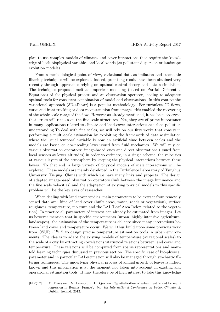plan to use complex models of climate/land cover interactions that require the knowledge of both biophysical variables and local winds (as pollutant dispersion or landscape evolution models).

From a methodological point of view, variational data assimilation and stochastic filtering techniques will be explored. Indeed, promising results have been obtained very recently through approaches relying on optimal control theory and data assimilation. The techniques proposed melt an imperfect modeling (based on Partial Differential Equations) of the physical process and an observation operator, leading to adequate optimal tools for consistent combination of model and observations. In this context the variational approach (3D-4D var) is a popular methodology. For turbulent 2D flows, curve and front tracking or data reconstruction from images, this enabled the recovering of the whole scale range of the flow. However as already mentioned, it has been observed that errors still remain on the fine scale structures. Yet, they are of prime importance in many applications related to climate and land-cover interactions as urban pollution understanding.To deal with fine scales, we will rely on our first works that consist in performing a multi-scale estimation by exploiting the framework of data assimilation where the usual temporal variable is now an artificial time between scales and the models are based on downscaling laws issued from fluid mechanics. We will rely on various observation operators: image-based ones and direct observations (issued from local sensors at lower altitudes) in order to estimate, in a single scheme, the velocities at various layers of the atmosphere by keeping the physical interactions between these layers. To that end, a large variety of physical models of scale interactions will be explored. These models are mainly developed in the Turbulence Laboratory of Tsinghua University (Beijing, China) with which we have many links and projects. The design of adapted image-based observation operators (link between the image luminance and the fine scale velocities) and the adaptation of existing physical models to this specific problem will be the key axes of researches.

When dealing with land cover studies, main parameters to be extract from remotely sensed data are: kind of land cover (built areas, water, roads or vegetation), surface roughness, temperature, moisture and the LAI (Leaf Area Index, related to the vegetation). In practice all parameters of interest can already be estimated from images. Let us however mention that in specific environments (urban, highly intensive agricultural landscapes), the estimation of the temperature is delicate since many interactions between land cover and temperature occur. We will thus build upon some previous work from OSUR [FDQ12] to design precise temperature estimation tools in urban environments. The idea is to adapt the existing models of temperature (at regional scales) to the scale of a city by extracting correlations/statistical relations between land cover and temperature. These relations will be computed from sparse representations and manifold learning techniques discussed in previous section. The specific case of bio-physical parameter and in particular LAI estimation will also be managed through stochastic filtering techniques. The underlying physical process of annual growth of leaves is indeed known and this information is at the moment not taken into account in existing and operational estimation tools. It may therefore be of high interest to take this knowledge

<sup>[</sup>FDQ12] X. Foissard, V. Dubreuil, H. Quenol, "Spatialization of urban heat island by multi regression in Rennes, France", in: 8th International Conference on Urban Climate, 2, Dublin, Ireland, 2012.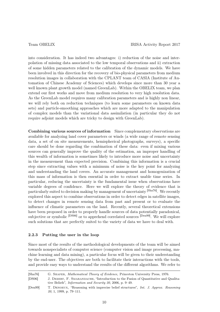into consideration. It has indeed two advantages: i) reduction of the noise and interpolation of missing data associated to the low temporal observations and ii) extraction of some hidden parameters related to the calibration of the dynamic models. We have been involved in this direction for the recovery of bio-physical parameters from medium resolution images in collaboration with the CPLANT team of CASIA (Institute of Automation of Chinese Academy of Sciences) which develops since more than 30 year a well known plant growth model (named GreenLab). Within the OBELIX team, we plan extend our first works and move from medium resolution to very high resolution data. As the GreenLab model requires many calibration parameters and is highly non linear, we will rely both on reduction techniques (to learn some parameters on known data sets) and particle-smoothing approaches which are more adapted to the manipulation of complex models than the variational data assimilation (in particular they do not require adjoint models which are tricky to design with GreenLab).

Combining various sources of information Since complementary observations are available for analyzing land cover parameters or winds (a wide range of remote sensing data, a set of on site measurements, hemispherical photographs, surveys), a specific care should be done regarding the combination of these data: even if mixing various sources can generally improve the quality of the estimation, an improper handling of this wealth of information is sometimes likely to introduce more noise and uncertainty in the measurement than expected precision. Combining this information is a crucial step since extracting values with a minimum of noise is the key point for analyzing and understanding the land covers. An accurate management and homogenization of this mass of information is then essential in order to extract usable time series. In particular, reducing the uncertainty is the fundamental issue when observations have variable degrees of confidence. Here we will explore the theory of evidence that is particularly suited to decision making by management of uncertainty [Sha76]. We recently explored this aspect to combine observations in order to detect edges in satellite images, to detect changes in remote sensing data from past and present or to evaluate the influence of climatic parameters on the land. Recently, several theoretical extensions have been proposed in order to properly handle sources of data potentially paradoxical, subjective or symbolic <sup>[DS06]</sup> or to apprehend correlated sources <sup>[Den99]</sup>. We will explore such solutions that are perfectly suited to the variety of data we have to deal with.

### 2.2.3 Putting the user in the loop

Since most of the results of the methodological developments of the team will be aimed towards nonspecialists of computer science (computer vision and image processing, machine learning and data mining), a particular focus will be given to their understanding by the end-user. The objectives are both to facilitate their interactions with the tools, and provide easy ways to understand the results of the different algorithms. We refer to

[Sha76] G. Shafer, Mathematical Theory of Evidence, Princeton University Press, 1976.

[DS06] J. Dezert, F. Smarandache, "Introduction to the Fusion of Quantitative and Qualitative Beliefs", Information and Security 20, 2006, p. 9–49.

[Den99] T. Denoeux, "Reasoning with imprecise belief structures", Int. J. Approx. Reasoning 20, 1, 1999, p. 79–111.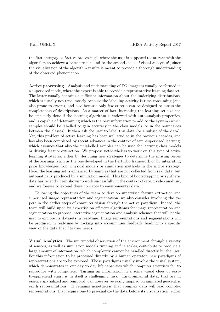the first category as "active processing", where the user is supposed to interact with the algorithm to achieve a better result, and to the second one as "visual analytics", since the visualization of the algorithm results is meant to provide a thorough understanding of the observed phenomenon.

Active processing Analysis and understanding of EO images is usually performed in a supervised mode, where the expert is able to provide a representative learning dataset. The latter usually contains a sufficient information about the underlying distributions, which is usually not true, mostly because the labelling activity is time consuming (and also prone to errors), and also because only few criteria can be designed to assess the completeness of descriptions. As a matter of fact, increasing the learning set size can be efficiently done if the learning algorithm is endowed with auto-analysis properties, and is capable of determining which is the best information to add to the system (which samples should be labelled to gain accuracy in the class models, or in the boundaries between the classes). It then ask the user to label this data (or a subset of the data). Yet, this problem of active learning has been well studied in the previous decades, and has also been completed by recent advances in the context of semi-supervised learning, which assumes that also the unlabelled samples can be used for learning class models or driving feature extraction. We propose nethertheless to work on this type of active learning strategies, either by designing new strategies to determine the missing pieces of the learning (such as the one developed in the Perturbo framework or by integrating prior knowledges from physical models or simulation methods in the active strategy. Here, the learning set is enhanced by samples that are not collected from real data, but automatically produced by a simulation model. This kind of bootstrapping by synthetic data has recently been shown to work successfully in the context of crowd video analysis, and we foresee to extend these concepts to environmental data.

Following the objectives of the team to develop supervised feature extraction and supervised image representation and segmentation, we also consider involving the expert in the earlier steps of computer vision through the active paradigm. Indeed, the team will build upon its expertise on efficient algorithms for image representation and segmentation to propose interactive segmentation and analysis schemes that will let the user to explore its datasets in real-time. Image representations and segmentations will be produced in real-time by tacking into account user feedback, leading to a specific view of the data that fits user needs.

Visual Analytics The multimodal observation of the environment through a variety of sensors, as well as simulation models running at fine scales, contribute to produce a large amount of information, which complexity cannot be handled directly by the user. For this information to be processed directly by a human operator, new paradigms of representations are to be explored. Those paradigms usually involve the visual system, which demonstrates in our day to day life capacities which computer scientists fail to reproduce with computers. Turning an information in a some visual clues or easyto-apprehend chart is in itself a challenging task. Environmental data, that are in essence spatialized and temporal, can however be easily mapped on animated geocentric earth representations. It remains nonetheless that complex data will lead complex representations, that require one to pre-analyze the data before its visualization, either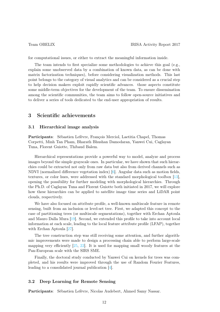for computational issues, or either to extract the meaningful information inside.

The team intends to first specialize some methodologies to achieve this goal (e.g., explain some unobserved data by a combination of known data, as can be done with matrix factorization techniques), before considering visualization methods. This last point belongs to the category of visual analytics and can be considered as a crucial step to help decision makers exploit rapidly scientific advances. those aspects constitute some middle-term objectives for the development of the team. To ensure dissemination among the scientific communities, the team aims to follow open-source initiatives and to deliver a series of tools dedicated to the end-user appropriation of results.

# 3 Scientific achievements

### 3.1 Hierarchical image analysis

Participants: Sébastien Lefèvre, François Merciol, Laetitia Chapel, Thomas Corpetti, Minh Tan Pham, Bharath Bhushan Damodaran, Yanwei Cui, Caglayan Tuna, Florent Guiotte, Thibaud Balem.

Hierarchical representations provide a powerful way to model, analyze and process images beyond the simple grayscale ones. In particular, we have shown that such hierarchies could be extracted not only from raw data but also from derived channels such as NDVI (normalized difference vegetation index) [\[6\]](#page-29-0). Angular data such as motion fields, textures, or color hues, were addressed with the standard morphological toolbox [\[13\]](#page-30-0), opening the possibility for further modeling with morphological hierarchies. Through the Ph.D. of Caglayan Tuna and Florent Guiotte both initiated in 2017, we will explore how these hierarchies can be applied to satellite image time series and LiDAR point clouds, respectively.

We have also focused on attribute profile, a well-known multiscale feature in remote sensing, built from an inclusion or level-set tree. First, we adapted this concept to the case of partitioning trees (or multiscale segmentations), together with Erchan Aptoula and Mauro Dalla Mura [\[19\]](#page-30-1). Second, we extended this profile to take into account local information at each scale, leading to the local feature attribute profile (LFAP), together with Erchan Aptoula [\[27\]](#page-31-0).

The tree construction step was still receiving some attention, and further algorithmic improvements were made to design a processing chain able to perform large-scale mapping very efficiently [\[25,](#page-31-1) [22\]](#page-30-2). It is used for mapping small woody features at the Pan-European scale with the SIRS SME.

Finally, the doctoral study conducted by Yanwei Cui on kernels for trees was completed, and his results were improved through the use of Random Fourier Features, leading to a consolidated journal publication [\[4\]](#page-29-1).

### 3.2 Deep Learning for Remote Sensing

Participants: Sébastien Lefèvre, Nicolas Audebert, Ahmed Samy Nassar.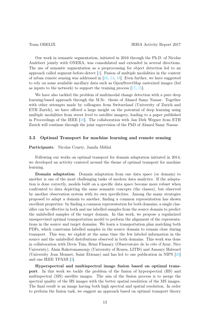Our work in semantic segmentation, initiated in 2016 through the Ph.D. of Nicolas Audebert jointly with ONERA, was consolidated and extended in several directions. The use of semantic segmentation as a preprocessing for object detection led to an approach called segment-before-detect [\[1\]](#page-29-2). Fusion of multiple modalities in the context of urban remote sensing was addressed in [\[16,](#page-30-3) [14,](#page-30-4) [18\]](#page-30-5). Even further, we have suggested to rely on some available ancillary data such as OpenStreetMap rasterized images (fed as inputs to the network) to support the training process  $\left[17, 15\right]$  $\left[17, 15\right]$  $\left[17, 15\right]$ .

We have also tackled the problem of multimodal change detection with a pure deep learning-based approach through the M.Sc. thesis of Ahmed Samy Nassar. Together with other attempts made by colleagues from Switzerland (University of Zurich and ETH Zurich), we have offered a large insight on the potential of deep learning using multiple modalities from street level to satellite imagery, leading to a paper published in Proceedings of the IEEE [\[10\]](#page-29-3). The collaboration with Jan Dirk Wegner from ETH Zurich will continue through the joint supervision of the PhD of Ahmed Samy Nassar.

### 3.3 Optimal Transport for machine learning and remote sensing

Participants: Nicolas Courty, Jamila Mifdal.

Following our works on optimal transport for domain adaptation initiated in 2014, we developed an activity centered around the theme of optimal transport for machine learning.

Domain adaptation. Domain adaptation from one data space (or domain) to another is one of the most challenging tasks of modern data analytics. If the adaptation is done correctly, models built on a specific data space become more robust when confronted to data depicting the same semantic concepts (the classes), but observed by another observation system with its own specificities. Among the many strategies proposed to adapt a domain to another, finding a common representation has shown excellent properties: by finding a common representation for both domains, a single classifier can be effective in both and use labelled samples from the source domain to predict the unlabelled samples of the target domain. In this work, we propose a regularized unsupervised optimal transportation model to perform the alignment of the representations in the source and target domains. We learn a transportation plan matching both PDFs, which constrains labelled samples in the source domain to remain close during transport. This way, we exploit at the same time the few labeled information in the source and the unlabelled distributions observed in both domains. This work was done in collaboration with Devis Tuia, Rémi Flamary (Observatoire de la côte d'Azur, Nice Univeristy), Alain Rakotomamonjy (University of Rouen, LITIS) and Amaury Habrard (University Jean Monnet, Saint Etienne) and has led to one publication in NIPS [\[20\]](#page-30-8) and one IEEE TPAMI [\[3\]](#page-29-4).

Hyperspectral and multispectral image fusion based on optimal transport. In this work we tackle the problem of the fusion of hyperspectral (HS) and multispectral (MS) satellite images. The aim of the fusion process is to merge the spectral quality of the HS images with the better spatial resolution of the MS images. The final result is an image having both high spectral and spatial resolution. In order to perform the fusion task, we suggest an approach based on optimal transport theory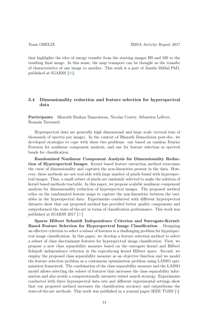that highlights the idea of energy transfer from the starting images HS and MS to the resulting final image. In this sense, the map transport can be thought as the transfer of characteristics of one image to another. This work is a part of Jamila Mifdal PhD, published at IGARSS [\[26\]](#page-31-2).

# 3.4 Dimensionality reduction and feature selection for hyperspectral data

Participants: Bharath Bushan Damodoran, Nicolas Courty, Sébastien Lefèvre, Romain Tavenard.

Hyperspectral data are generally high dimensional and large scale (several tens of thousands of spectra per image). In the context of Bharath Damodoran post-doc, we developed strategies to cope with these two problems: one based on random Fourier Features for nonlinear component analysis, and one for feature selection in spectral bands for classification.

Randomized Nonlinear Component Analysis for Dimensionality Reduction of Hyperspectral Images. Kernel based feature extraction method overcomes the curse of dimensionality and captures the non-linearities present in the data. However, these methods are not scal-able with large number of pixels found with hyperspectral images. Thus, a small subset of pixels are randomly selected to make the solution of kernel based methods tractable. In this paper, we propose scalable nonlinear component analysis for dimensionality reduction of hyperspectral images. The proposed method relies on the randomized feature maps to capture the non-linearities between the variables in the hyperspectral data. Experiments conducted with different hyperspectral datasets show that our proposed method has provided better quality components and outperformed the state-of-the-art in terms of classification performance. This work was published at IGARSS 2017 [\[21\]](#page-30-9)

Sparse Hilbert Schmidt Independence Criterion and Surrogate-Kernel-Based Feature Selection for Hyperspectral Image Classification . Designing an effective criterion to select a subset of features is a challenging problem for hyperspectral image classification. In this paper, we develop a feature selection method to select a subset of class discriminant features for hyperspectral image classification. First, we propose a new class separability measure based on the surrogate kernel and Hilbert Schmidt independence criterion in the reproducing kernel Hilbert space. Second, we employ the proposed class separability measure as an objective function and we model the feature selection problem as a continuous optimization problem using LASSO optimization framework. The combination of the class separability measure and the LASSO model allows selecting the subset of features that increases the class separability information and also avoids a computationally intensive subset search strategy. Experiments conducted with three hyperspectral data sets and different experimental settings show that our proposed method increases the classification accuracy and outperforms the state-of-the-art methods. This work was published in a journal paper IEEE TGRS [\[5\]](#page-29-5).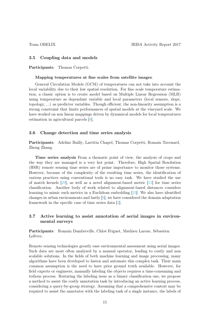### 3.5 Coupling data and models

Participants: Thomas Corpetti.

### Mapping temperatures at fine scales from satellite images.

General Circulation Models (GCM) of temperatures can not take into account the local variability due to their low spatial resolution. For fine scale temperature estimation, a classic option is to create model based on Multiple Linear Regression (MLR) using temperature as dependant variable and local parameters (local sensors, slope, topology, ...) as predictor variables. Though efficient, the non-linearity assumption is a strong constraint that limits performances of spatial models at the vineyard scale. We have worked on non linear mappings driven by dynamical models for local temperatures estimation in agricultural parcels [\[8\]](#page-29-6).

### 3.6 Change detection and time series analysis

Participants: Adeline Bailly, Laetitia Chapel, Thomas Corpetti, Romain Tavenard, Zheng Zhang.

Time series analysis From a thematic point of view, the analysis of crops and the way they are managed is a very hot point. Therefore, High Spatial Resolution (HSR) remote sensing time series are of prime importance to monitor those systems. However, because of the complexity of the resulting time series, the identification of various practices using conventional tools is no easy task. We have studied the use of match kernels [\[29\]](#page-31-3), as well as a novel alignment-based metric [\[12\]](#page-29-7) for time series classification. Another body of work related to alignment-based distances considers learning to mimic such metrics in a Euclidean embedding [\[23\]](#page-30-10). We also have identified changes in urban environments and lastly [\[9\]](#page-29-8), we have considered the domain adaptation framework in the specific case of time series data [\[2\]](#page-29-9).

# 3.7 Active learning to assist annotation of aerial images in environmental surveys

Participants: Romain Dambreville, Chloé Friguet, Mathieu Laroze, Sébastien Lefèvre.

Remote sensing technologies greatly ease environmental assessment using aerial images. Such data are most often analyzed by a manual operator, leading to costly and non scalable solutions. In the fields of both machine learning and image processing, many algorithms have been developed to fasten and automate this complex task. Their main common assumption is the need to have prior ground truth available. However, for field experts or engineers, manually labeling the objects requires a time-consuming and tedious process. Restating the labeling issue as a binary classification one, we propose a method to assist the costly annotation task by introducing an active learning process, considering a query-by-group strategy. Assuming that a comprehensive context may be required to assist the annotator with the labeling task of a single instance, the labels of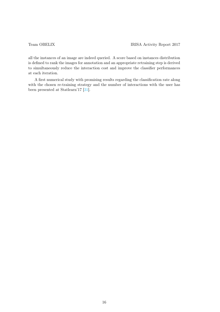all the instances of an image are indeed queried. A score based on instances distribution is defined to rank the images for annotation and an appropriate retraining step is derived to simultaneously reduce the interaction cost and improve the classifier performances at each iteration.

A first numerical study with promising results regarding the classification rate along with the chosen re-training strategy and the number of interactions with the user has been presented at Statlearn'17 [\[31\]](#page-31-4).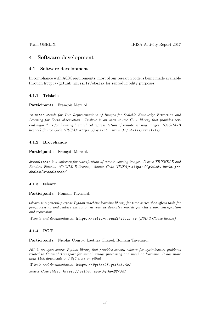# 4 Software development

# 4.1 Software development

In compliance with ACM requirements, most of our research code is being made available through http://gitlab.inria.fr/obelix for reproducibility purposes.

## 4.1.1 Triskele

Participants: François Merciol.

TRISKELE stands for Tree Representations of Images for Scalable Knowledge Extraction and Learning for Earth observation. Triskele is an open source  $C_{++}$  library that provides several algorithms for building hierarchical representation of remote sensing images. (CeCILL-B licence) Source Code (IRISA): https: // gitlab. inria. fr/ obelix/ triskele/

## 4.1.2 Broceliande

Participants: François Merciol.

Broceliande is a software for classification of remote sensing images. It uses TRISKELE and Random Forests. (CeCILL-B licence). Source Code (IRISA): https: // gitlab. inria. fr/ obelix/ broceliande/

### 4.1.3 tslearn

Participants: Romain Tavenard.

tslearn is a general-purpose Python machine learning library for time series that offers tools for pre-processing and feature extraction as well as dedicated models for clustering, classification and regression

Website and documentation: https://tslearn.readthedocs.io (BSD-2-Clause license)

# 4.1.4 POT

Participants: Nicolas Courty, Laetitia Chapel, Romain Tavenard.

POT is an open source Python library that provides several solvers for optimization problems related to Optimal Transport for signal, image processing and machine learning. It has more than 110k downloads and 640 stars on github.

Website and documentation: https: // PythonOT. github. io/

Source Code (MIT): https: // github. com/ PythonOT/ POT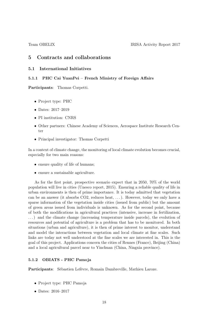# 5 Contracts and collaborations

# 5.1 International Initiatives

## 5.1.1 PHC Cai YuanPei – French Ministry of Foreign Affairs

Participants: Thomas Corpetti.

- Project type: PHC
- Dates: 2017–2019
- PI institution: CNRS
- Other partners: Chinese Academy of Sciences, Aerospace Institute Research Center
- Principal investigator: Thomas Corpetti

In a context of climate change, the monitoring of local climate evolution becomes crucial, especially for two main reasons:

- ensure quality of life of humans;
- ensure a sustainable agriculture.

As for the first point, prospective scenario expect that in 2050, 70% of the world population will live in cities (Unesco report, 2015). Ensuring a reliable quality of life in urban environments is then of prime importance. It is today admitted that vegetation can be an answer (it absorbs CO2, reduces heat, . . . ). However, today we only have a sparse information of the vegetation inside cities (issued from public) but the amount of green areas issued from individuals is unknown. As for the second point, because of both the modifications in agricultural practices (intensive, increase in fertilization, . . . ) and the climate change (increasing temperature inside parcels), the evolution of resources and potential of agriculture is a problem that has to be monitored. In both situations (urban and agriculture), it is then of prime interest to monitor, understand and model the interactions between vegetation and local climate at fine scales. Such links are today not well understood at the fine scales we are interested in. This is the goal of this project. Applications concern the cities of Rennes (France), Beijing (China) and a local agricultural parcel near to Yinchuan (China, Ningxia province).

### 5.1.2 OBIATS - PHC Pamoja

Participants: Sébastien Lefèvre, Romain Dambreville, Mathieu Laroze.

- Project type: PHC Pamoja
- Dates: 2016–2017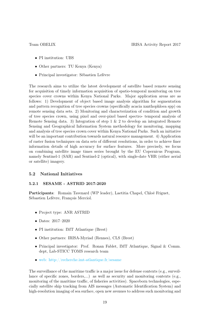- PI institution: UBS
- Other partners: TU Kenya (Kenya)
- Principal investigator: Sébastien Lefèvre

The research aims to utilize the latest development of satellite based remote sensing for acquisition of timely information acquisition of spatio-temporal monitoring on tree species cover crowns within Kenya National Parks. Major application areas are as follows: 1) Development of object based image analysis algorithm for segmentation and pattern recognition of tree species crowns (specifically acacia xanthophloea spp) on remote sensing data sets. 2) Monitoring and characterization of condition and growth of tree species crown, using pixel and over-pixel based spectro- temporal analysis of Remote Sensing data. 3) Integration of step 1 & 2 to develop an integrated Remote Sensing and Geographical Information System methodology for monitoring, mapping and analysis of tree species crown cover within Kenya National Parks. Such an initiative will be an important contribution towards natural resource management. 4) Application of raster fusion techniques on data sets of different resolutions, in order to achieve finer information details of high accuracy for surface features. More precisely, we focus on combining satellite image times series brought by the EU Copernicus Program, namely Sentinel-1 (SAR) and Sentinel-2 (optical), with single-date VHR (either aerial or satellite) imagery.

# 5.2 National Initiatives

# 5.2.1 SESAME - ASTRID 2017-2020

Participants: Romain Tavenard (WP leader), Laetitia Chapel, Chloé Friguet, Sébastien Lefèvre, François Merciol.

- Project type: ANR ASTRID
- Dates: 2017–2020
- PI institution: IMT Atlantique (Brest)
- Other partners: IRISA-Myriad (Rennes), CLS (Brest)
- Principal investigator: Prof. Ronan Fablet, IMT Atlantique, Signal & Comm. dept, Lab-STICC TOMS research team
- [web: http://recherche.imt-atlantique.fr/sesame](http://recherche.imt-atlantique.fr/sesame)

The surveillance of the maritime traffic is a major issue for defense contexts (e.g., surveillance of specific zones, borders,...) as well as security and monitoring contexts (e.g., monitoring of the maritime traffic, of fisheries activities). Spaceborn technologies, especially satellite ship tracking from AIS messages (Automatic Identification System) and high-resolution imaging of sea surface, open new avenues to address such monitoring and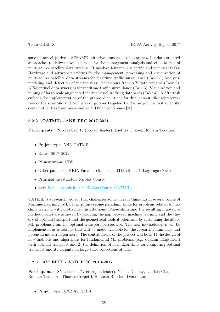surveillance objectives. SESAME initiative aims at developing new big-data-oriented approaches to deliver novel solutions for the management, analysis and visualization of multi-source satellite data streams. It involves four main scientific and technical tasks: Hardware and software platforms for the management, processing and visualization of multi-source satellite data streams for maritime traffic surveillance (Task 1), Analysis, modeling and detection of marine vessel behaviours from AIS data streams (Task 2), AIS-Sentinel data synergies for maritime traffic surveillance (Task 3), Visualization and mining of large-scale augmented marine vessel tracking databases (Task 4). A fifth task embeds the implementation of the proposed solutions for dual case-studies representative of the scientific and technical objectives targeted by the project. A first scientific contribution has been presented at BIDS'17 conference [\[30\]](#page-31-5).

# 5.2.2 OATMIL - ANR PRC 2017-2021

Participants: Nicolas Courty (project leader), Laetitia Chapel, Romain Tavenard.

- Project type: ANR OATMIL
- Dates: 2017–2021
- PI institution: UBS
- Other partners: INRIA-Panama (Rennes), LITIS (Rouen), Lagrange (Nice)
- Principal investigator: Nicolas Courty
- [web: http://people.irisa.fr/Nicolas.Courty/OATMIL/](http://people.irisa.fr/Nicolas.Courty/OATMIL/)

OATMIL is a research project that challenges some current thinkings in several topics of Machine Learning (ML). It introduces some paradigm shifts for problems related to machine learning with probability distributions. These shifts and the resulting innovative methodologies are achieved by bridging the gap between machine learning and the theory of optimal transport and the geometrical tools it offers and by rethinking the above ML problems from the optimal transport perspective. The new methodologies will be implemented as a toolbox that will be made available for the research community and potential industrial partners. The contributions of the project will be in 1) the design of new methods and algorithms for fundamental ML problems (e.g. domain adaptation) with optimal transport and 2) the definition of new algorithms for computing optimal transport and its variants on large scale collections of data.

# 5.2.3 ASTERIX - ANR JCJC 2013-2017

Participants: Sébastien Lefèvre(project leader), Nicolas Courty, Laetitia Chapel, Romain Tavenard, Thomas Corpetti, Bharath Bhushan Damodaran.

• Project type: ANR ASTERIX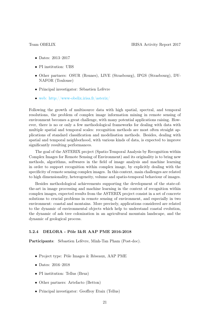- Dates: 2013–2017
- PI institution: UBS
- Other partners: OSUR (Rennes), LIVE (Strasbourg), IPGS (Strasbourg), DY-NAFOR (Toulouse)
- Principal investigator: Sébastien Lefèvre
- [web: http://www-obelix.irisa.fr/asterix/](http://www-obelix.irisa.fr/asterix/)

Following the growth of multisource data with high spatial, spectral, and temporal resolutions, the problem of complex image information mining in remote sensing of environment becomes a great challenge, with many potential applications raising. However, there is no or only a few methodological frameworks for dealing with data with multiple spatial and temporal scales: recognition methods are most often straight applications of standard classification and modelisation methods. Besides, dealing with spatial and temporal neighborhood, with various kinds of data, is expected to improve significantly resulting performances.

The goal of the ASTERIX project (Spatio-Temporal Analysis by Recognition within Complex Images for Remote Sensing of Environment) and its originality is to bring new methods, algorithms, softwares in the field of image analysis and machine learning in order to support recognition within complex image, by explicitly dealing with the specificity of remote sensing complex images. In this context, main challenges are related to high dimensionality, heterogeneity, volume and spatio-temporal behaviour of images.

Besides methodological achievements supporting the development of the state-ofthe-art in image processing and machine learning in the context of recognition within complex images, expected results from the ASTERIX project consist in a set of concrete solutions to crucial problems in remote sensing of environment, and especially in two environment: coastal and montains. More precisely, applications considered are related to the dynamic of environmental objects which help to understand coastal evolution, the dynamic of ash tree colonization in an agricultural mountain landscape, and the dynamic of geological process.

### 5.2.4 DELORA - Pôle I&R AAP PME 2016-2018

Participants: Sébastien Lefèvre, Minh-Tan Pham (Post-doc).

- Project type: Pôle Images & Réseaux, AAP PME
- Dates: 2016–2018
- PI institution: Tellus (Bruz)
- Other partners: Artefacto (Betton)
- Principal investigator: Geoffroy Etaix (Tellus)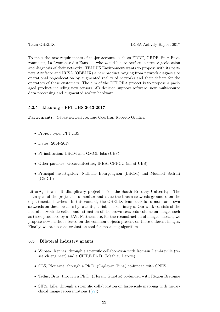To meet the new requirements of major accounts such as ERDF, GRDF, Suez Environnment, La Lyonnaise des Eaux, ... who would like to perform a precise geolocation and diagnosis of their networks, TELLUS Environment wants to propose with its partners Artefacto and IRISA (OBELIX) a new product ranging from network diagnosis to operational re-geolocation by augmented reality of networks and their defects for the operators of these customers. The aim of the DELORA project is to propose a packaged product including new sensors, 3D decision support software, new multi-source data processing and augmented reality hardware.

# 5.2.5 Littoralg - PPI UBS 2013-2017

Participants: Sébastien Lefèvre, Luc Courtrai, Roberto Giudici.

- Project type: PPI UBS
- Dates: 2014–2017
- PI institution: LBCM and GMGL labs (UBS)
- Other partners: Geoarchitecture, IREA, CRPCC (all at UBS)
- Principal investigator: Nathalie Bourgougnon (LBCM) and Mouncef Sedrati (GMGL)

LittorAgl is a multi-disciplinary project inside the South Brittany University. The main goal of the project is to monitor and value the brown seaweeds grounded on the departmental beaches. In this context, the OBELIX team task is to monitor brown seaweeds on these beaches by satellite, aerial, or fixed images. Our work consists of the neural network detection and estimation of the brown seaweeds volume on images such as those produced by a UAV. Furthermore, for the reconstruction of images' mosaic, we propose new methods based on the common objects present on those different images. Finally, we propose an evaluation tool for mosaicing algorithms.

# 5.3 Bilateral industry grants

- Wipsea, Rennes, through a scientific collaboration with Romain Dambreville (research engineer) and a CIFRE Ph.D. (Mathieu Laroze)
- CLS, Plouzané, through a Ph.D. (Caglayan Tuna) co-funded with CNES
- Tellus, Bruz, through a Ph.D. (Florent Guiotte) co-funded with Région Bretagne
- SIRS, Lille, through a scientific collaboration on large-scale mapping with hierarchical image representations ([\[22\]](#page-30-2))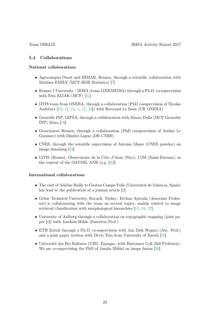# 5.4 Collaborations

# National collaborations

- Agrocampus Ouest and IRMAR, Rennes, through a scientific collaboration with Mathieu EMILY (MCF-HDR Statistics) [\[7\]](#page-29-10)
- Rennes 1 University / IRISA (team LINKMEDIA) through a Ph.D. co-supervision with Ewa KIJAK (MCF) [\[31\]](#page-31-4)
- DTIS team from ONERA, through a collaboration (PhD cosupervision of Nicolas Audebert [\[18,](#page-30-5) [15,](#page-30-7) [14,](#page-30-4) [1,](#page-29-2) [17,](#page-30-6) [16\]](#page-30-3)) with Bertrand Le Saux (CR ONERA)
- Grenoble INP, GIPSA, through a collaboration with Mauro Dalla (MCF Grenoble INP) Mura [\[19\]](#page-30-1)
- Geosciences Rennes, through a collaboration (PhD cosupervision of Arthur Le Guennec) with Dimitri Lague (DR CNRS)
- CNES, through the scientific supervision of Antoine Masse (CNES postdoc) on image denoising [\[24\]](#page-31-6)
- LITIS (Rouen), Observatoire de la Côte d'Azur (Nice), UJM (Saint-Etienne), in the context of the OATMIL ANR (e.g. [\[20\]](#page-30-8))

# International collaborations

- The visit of Adeline Bailly to Gustau Camps-Valls (Universitat de Valencia, Spain) has lead to the publication of a journal article [\[2\]](#page-29-9)
- Gebze Technical University, Kocaeli, Turkey: Erchan Aptoula (Associate Professor) is collaborating with the team on several topics, mainly related to image retrieval/classification with morphological hierarchies [\[13,](#page-30-0) [19,](#page-30-1) [27\]](#page-31-0)
- University of Aalborg through a collaboration on topographic mapping (joint paper [\[6\]](#page-29-0)) with Joachim Höhle (Emeritus Prof.)
- ETH Zurich through a Ph.D. co-supervision with Jan Dirk Wegner (Ass. Prof.) and a joint paper written with Devis Tuia from University of Zurich [\[10\]](#page-29-3)
- Université des Iles Baléares (UIB), Espagne, with Bartomeu Coll (full Professor). We are co-supervising the PhD of Jamila Mifdal on image fusion [\[26\]](#page-31-2).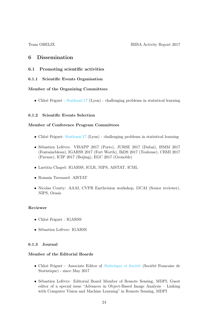Team OBELIX IRISA Activity Report 2017

# 6 Dissemination

# 6.1 Promoting scientific activities

6.1.1 Scientific Events Organisation

# Member of the Organizing Committees

• Chloé Friguet : [Statlearn'17](https://statlearn.sciencesconf.org/resource/page/id/4) (Lyon) : challenging problems in statistical learning

# 6.1.2 Scientific Events Selection

# Member of Conference Program Committees

- Chloé Friguet: [Statlearn'17](https://statlearn.sciencesconf.org/resource/page/id/4) (Lyon) : challenging problems in statistical learning
- Sébastien Lefèvre: VISAPP 2017 (Porto), JURSE 2017 (Dubai), ISMM 2017 (Fontainebleau), IGARSS 2017 (Fort Worth), BiDS 2017 (Toulouse), CBMI 2017 (Firenze), ICIP 2017 (Beijing), EGC 2017 (Grenoble)
- Laetitia Chapel: IGARSS, ICLR, NIPS, AISTAT, ICML
- Romain Tavenard: AISTAT
- Nicolas Courty: AAAI, CVPR Earthvision workshop, IJCAI (Senior reviewer), NIPS, Orasis

# Reviewer

- Chloé Friguet : IGARSS
- Sébastien Lefèvre: IGARSS

# 6.1.3 Journal

# Member of the Editorial Boards

- Chloé Friguet : Associate Editor of [Statistique et Société](http://publications-sfds.fr/index.php/stat_soc) (Société Francaise de Statistique) - since May 2017
- Sébastien Lefèvre: Editorial Board Member of Remote Sensing, MDPI; Guest editor of a special issue "Advances in Object-Based Image Analysis – Linking with Computer Vision and Machine Learning" in Remote Sensing, MDPI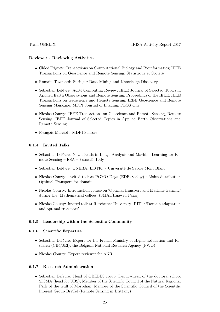# Reviewer - Reviewing Activities

- Chloé Friguet: Transactions on Computational Biology and Bioinformatics; IEEE Transactions on Geoscience and Remote Sensing; Statistique et Société
- Romain Tavenard: Springer Data Mining and Knowledge Discovery
- Sébastien Lefèvre: ACM Computing Review, IEEE Journal of Selected Topics in Applied Earth Observations and Remote Sensing, Proceedings of the IEEE, IEEE Transactions on Geoscience and Remote Sensing, IEEE Geoscience and Remote Sensing Magazine, MDPI Journal of Imaging, PLOS One
- Nicolas Courty: IEEE Transactions on Geoscience and Remote Sensing, Remote Sensing, IEEE Journal of Selected Topics in Applied Earth Observations and Remote Sensing
- François Merciol : MDPI Sensors

# 6.1.4 Invited Talks

- Sébastien Lefèvre: New Trends in Image Analysis and Machine Learning for Remote Sensing – ESA – Frascati, Italy
- Sébastien Lefèvre: ONERA; LISTIC / Université de Savoie Mont Blanc
- Nicolas Courty: invited talk at PGMO Days (EDF/Saclay) : 'Joint distribution Optimal Transport for domain'
- Nicolas Courty: Introduction course on 'Optimal transport and Machine learning' during the 'Mathematical coffees' (SMAI/Huawei, Paris)
- Nicolas Courty: Invited talk at Rotchester University (RIT) : 'Domain adaptation and optimal transport'

# 6.1.5 Leadership within the Scientific Community

# 6.1.6 Scientific Expertise

- Sébastien Lefèvre: Expert for the French Ministry of Higher Education and Research (CIR/JEI), the Belgium National Research Agency (FWO)
- Nicolas Courty: Expert reviewer for ANR

# 6.1.7 Research Administration

• Sébastien Lefèvre: Head of OBELIX group; Deputy-head of the doctoral school SICMA (head for UBS); Member of the Scientific Council of the Natural Regional Park of the Gulf of Morbihan; Member of the Scientific Council of the Scientific Interest Group BreTel (Remote Sensing in Brittany)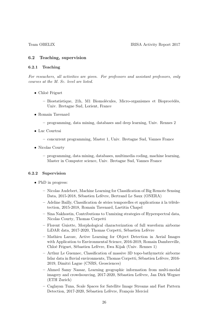# 6.2 Teaching, supervision

# 6.2.1 Teaching

For reseachers, all activities are given. For professors and assistant professors, only courses at the M. Sc. level are listed.

- Chloé Friguet
	- Biostatistique, 21h, M1 Biomolécules, Micro-organismes et Bioprocédés, Univ. Bretagne Sud, Lorient, France
- Romain Tavenard
	- programming, data mining, databases and deep learning, Univ. Rennes 2
- Luc Courtrai
	- concurrent programming, Master 1, Univ. Bretagne Sud, Vannes France
- Nicolas Courty
	- programming, data mining, databases, multimedia coding, machine learning, Master in Computer science, Univ. Bretagne Sud, Vannes France

### 6.2.2 Supervision

- PhD in progress:
	- Nicolas Audebert, Machine Learning for Classification of Big Remote Sensing Data, 2015-2018, Sébastien Lefèvre, Bertrand Le Saux (ONERA)
	- Adeline Bailly, Classification de séries temporelles et applications à la télédetection, 2015-2018, Romain Tavenard, Laetitia Chapel
	- Sina Nakhostin, Contributions to Unmixing strategies of Hyperspectral data, Nicolas Courty, Thomas Corpetti
	- Florent Guiotte, Morphological characterization of full waveform airborne LiDAR data, 2017-2020, Thomas Corpetti, Sébastien Lefèvre
	- Mathieu Laroze, Active Learning for Object Detection in Aerial Images with Application to Environmental Science, 2016-2019, Romain Dambreville, Chloé Friguet, Sébastien Lefèvre, Ewa Kijak (Univ. Rennes 1)
	- Arthur Le Guennec, Classification of massive 3D topo-bathymetric airborne lidar data in fluvial environments, Thomas Corpetti, Sébastien Lefèvre, 2016- 2019, Dimitri Lague (CNRS, Geosciences)
	- Ahmed Samy Nassar, Learning geographic information from multi-modal imagery and crowdsourcing, 2017-2020, Sébastien Lefèvre, Jan Dirk Wegner (ETH Zurich)
	- Caglayan Tuna, Scale Spaces for Satellite Image Streams and Fast Pattern Detection, 2017-2020, Sébastien Lefèvre, François Merciol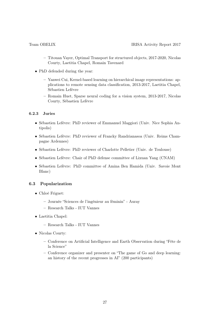- Titouan Vayer, Optimal Transport for structured objects, 2017-2020, Nicolas Courty, Laetitia Chapel, Romain Tavenard
- PhD defended during the year:
	- Yanwei Cui, Kernel-based learning on hierarchical image representations: applications to remote sensing data classification, 2013-2017, Laetitia Chapel, Sébastien Lefèvre
	- Romain Huet, Sparse neural coding for a vision system, 2013-2017, Nicolas Courty, Sébastien Lefèvre

## 6.2.3 Juries

- Sébastien Lefèvre: PhD reviewer of Emmanuel Maggiori (Univ. Nice Sophia Antipolis)
- Sébastien Lefèvre: PhD reviewer of Francky Randrianasoa (Univ. Reims Champagne Ardennes)
- Sébastien Lefèvre: PhD reviewer of Charlotte Pelletier (Univ. de Toulouse)
- Sébastien Lefèvre: Chair of PhD defense committee of Lixuan Yang (CNAM)
- Sébastien Lefèvre: PhD committee of Amina Ben Hamida (Univ. Savoie Mont Blanc)

# 6.3 Popularization

- Chloé Friguet:
	- Journée "Sciences de l'ingénieur au féminin" Auray
	- Research Talks IUT Vannes
- Laetitia Chapel:
	- Research Talks IUT Vannes
- Nicolas Courty:
	- Conference on Artificial Intelligence and Earth Observation during "Fête de la Science"
	- Conference organizer and presenter on "The game of Go and deep learning: an history of the recent progresses in AI" (200 participants)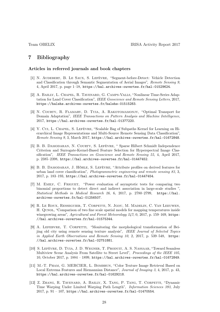# 7 Bibliography

## Articles in referred journals and book chapters

- <span id="page-29-2"></span>[1] N. Audebert, B. Le Saux, S. Lefèvre, "Segment-before-Detect: Vehicle Detection and Classification through Semantic Segmentation of Aerial Images", Remote Sensing 9, 4, April 2017, p. page 1–18, https://hal.archives-ouvertes.fr/hal-01529624.
- <span id="page-29-9"></span>[2] A. Bailly, L. Chapel, R. Tavenard, G. Camps-Valls, "Nonlinear Time-Series Adaptation for Land Cover Classification", IEEE Geoscience and Remote Sensing Letters, 2017, https://halshs.archives-ouvertes.fr/halshs-01515283.
- <span id="page-29-4"></span>[3] N. Courty, R. Flamary, D. Tuia, A. Rakotomamonjy, "Optimal Transport for Domain Adaptation", IEEE Transactions on Pattern Analysis and Machine Intelligence, 2017, https://hal.archives-ouvertes.fr/hal-01377220.
- <span id="page-29-1"></span>[4] Y. Cui, L. Chapel, S. Lefèvre, "Scalable Bag of Subpaths Kernel for Learning on Hierarchical Image Representations and Multi-Source Remote Sensing Data Classification", Remote Sensing 9, 3, March 2017, https://hal.archives-ouvertes.fr/hal-01672848.
- <span id="page-29-5"></span>[5] B. B. Damodaran, N. Courty, S. Lefèvre, " Sparse Hilbert Schmidt Independence Criterion and Surrogate-Kernel-Based Feature Selection for Hyperspectral Image Classification", IEEE Transactions on Geoscience and Remote Sensing 55, 4, April 2017, p. 2385–2398, https://hal.archives-ouvertes.fr/hal-01447452.
- <span id="page-29-0"></span>[6] B. B. Damodaran, J. Höhle, S. Lefèvre, "Attribute profiles on derived features for urban land cover classification", *Photogrammetric engineering and remote sensing 83*, 3, 2017, p. 183–193, https://hal.archives-ouvertes.fr/hal-01447454.
- <span id="page-29-10"></span>[7] M. EMILY, C. FRIGUET, "Power evaluation of asymptotic tests for comparing two binomial proportions to detect direct and indirect association in large-scale studies ", Statistical Methods in Medical Research 26, 6, 2017, p. 2780–2799, https://hal. archives-ouvertes.fr/hal-01256507.
- <span id="page-29-6"></span>[8] R. Le Roux, Resseguier, T. Corpetti, N. Jgou, M. Madelin, C. Van Leeuwen, H. QUNOL, "Comparison of two fine scale spatial models for mapping temperatures inside winegrowing areas", Agricultural and Forest Meteorology 247, 0, 2017, p. 159-169, https: //hal.archives-ouvertes.fr/hal-01575344.
- <span id="page-29-8"></span>[9] A. LEFEBVRE, T. CORPETTI, "Monitoring the morphological transformation of Beijing old city using remote sensing texture analysis", IEEE Journal of Selected Topics in Applied Earth Observations and Remote Sensing 10, 2, 2017, p. 539–548, https: //hal.archives-ouvertes.fr/hal-02751881.
- <span id="page-29-3"></span>[10] S. Lefèvre, D. Tuia, J. D. Wegner, T. Produit, A. S. Nassaar, "Toward Seamless Multiview Scene Analysis From Satellite to Street Level", Proceedings of the IEEE 105, 10, October 2017, p. 1884 – 1899, https://hal.archives-ouvertes.fr/hal-01672849.
- [11] M.-T. Pham, G. MERCIER, L. Bombrun, "Color Texture Image Retrieval Based on Local Extrema Features and Riemannian Distance", Journal of Imaging 3, 4, 2017, p. 43, https://hal.archives-ouvertes.fr/hal-01629218.
- <span id="page-29-7"></span>[12] Z. Zhang, R. Tavenard, A. Bailly, X. Tang, P. Tang, T. Corpetti, "Dynamic Time Warping Under Limited Warping Path Length", Information Sciences 393, July 2017, p.  $91 - 107$ , https://hal.archives-ouvertes.fr/hal-01470554.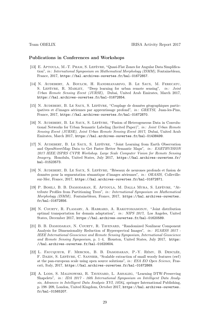### Publications in Conferences and Workshops

- <span id="page-30-0"></span>[13] E. Aptoula, M.-T. Pham, S. Lefèvre, "Quasi-Flat Zones for Angular Data Simplification", in : International Symposium on Mathematical Morphology (ISMM), Fontainebleau, France, 2017, https://hal.archives-ouvertes.fr/hal-01672857.
- <span id="page-30-4"></span>[14] N. Audebert, A. Boulch, H. Randrianarivo, B. Le Saux, M. Ferecatu, S. LEFÈVRE, R. MARLET, "Deep learning for urban remote sensing", in: Joint Urban Remote Sensing Event (JURSE), Dubai, United Arab Emirates, March 2017, https://hal.archives-ouvertes.fr/hal-01672854.
- <span id="page-30-7"></span>[15] N. Audebert, B. Le Saux, S. Lefèvre, "Couplage de données géographiques participatives et d'images aériennes par apprentissage profond", in : GRETSI, Juan-les-Pins, France, 2017, https://hal.archives-ouvertes.fr/hal-01672870.
- <span id="page-30-3"></span>[16] N. Audebert, B. Le Saux, S. Lefèvre, "Fusion of Heterogeneous Data in Convolutional Networks for Urban Semantic Labeling (Invited Paper)", in : Joint Urban Remote Sensing Event (JURSE), Joint Urban Remote Sensing Event 2017, Dubai, United Arab Emirates, March 2017, https://hal.archives-ouvertes.fr/hal-01438499.
- <span id="page-30-6"></span>[17] N. Audebert, B. Le Saux, S. Lefèvre, "Joint Learning from Earth Observation and OpenStreetMap Data to Get Faster Better Semantic Maps", in : EARTHVISION 2017 IEEE/ISPRS CVPR Workshop. Large Scale Computer Vision for Remote Sensing Imagery, Honolulu, United States, July 2017, https://hal.archives-ouvertes.fr/ hal-01523573.
- <span id="page-30-5"></span>[18] N. Audebert, B. Le Saux, S. Lefèvre, "Réseaux de neurones profonds et fusion de données pour la segmentation sémantique d'images aériennes", in : ORASIS, Collevillesur-Mer, France, 2017, https://hal.archives-ouvertes.fr/hal-01672871.
- <span id="page-30-1"></span>[19] P. Bosilj, B. B. Damodaran, E. Aptoula, M. Dalla Mura, S. Lefèvre, "Attribute Profiles from Partitioning Trees", in : International Symposium on Mathematical Morphology (ISMM), Fontainebleau, France, 2017, https://hal.archives-ouvertes. fr/hal-01672856.
- <span id="page-30-8"></span>[20] N. Courty, R. Flamary, A. Habrard, A. Rakotomamonjy, "Joint distribution optimal transportation for domain adaptation",  $in: NIPS 2017$ , Los Angeles, United States, December 2017, https://hal.archives-ouvertes.fr/hal-01620589.
- <span id="page-30-9"></span>[21] B. B. Damodaran, N. Courty, R. Tavenard, "Randomized Nonlinear Component Analysis for Dimensionality Reduction of Hyperspectral Images", in: IGARSS 2017 -IEEE International Geoscience and Remote Sensing Symposium, International Geoscience and Remote Sensing Symposium, p. 1–4, Houston, United States, July 2017, https: //hal.archives-ouvertes.fr/hal-01620604.
- <span id="page-30-2"></span>[22] L. Faucqueur, F. Merciol, B. B. Damodaran, P.-Y. Rémy, B. Desclée, F. Dazin, S. Lefèvre, C. Sannier, "Scalable extraction of small woody features (swf) at the pan-european scale using open source solutions", in : ESA EO Open Science, Frascati, Italy, 2017, https://hal.archives-ouvertes.fr/hal-01672869.
- <span id="page-30-10"></span>[23] A. Lods, S. Malinowski, R. Tavenard, L. Amsaleg, "Learning DTW-Preserving Shapelets", in: IDA 2017 - 16th International Symposium on Intelligent Data Analysis, Advances in Intelligent Data Analysis XVI, 10584, springer International Publishing, p. 198–209, London, United Kingdom, October 2017, https://hal.archives-ouvertes. fr/hal-01565207.